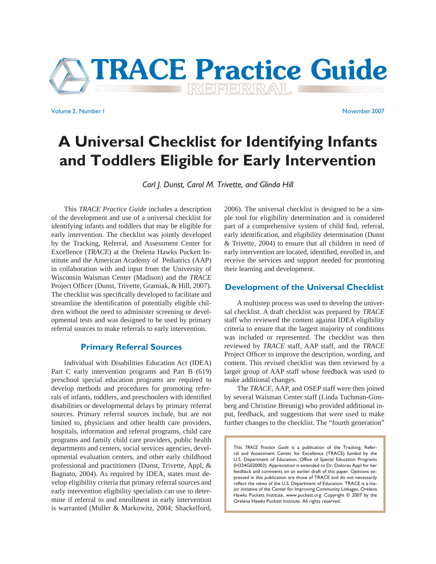

Volume 2, Number 1 November 2007

# **A Universal Checklist for Identifying Infants and Toddlers Eligible for Early Intervention**

*Carl J. Dunst, Carol M. Trivette, and Glinda Hill*

 This *TRACE Practice Guide* includes a description of the development and use of a universal checklist for identifying infants and toddlers that may be eligible for early intervention. The checklist was jointly developed by the Tracking, Referral, and Assessment Center for Excellence (*TRACE*) at the Orelena Hawks Puckett Institute and the American Academy of Pediatrics (AAP) in collaboration with and input from the University of Wisconsin Waisman Center (Madison) and the *TRACE* Project Officer (Dunst, Trivette, Gramiak, & Hill, 2007). The checklist was specifically developed to facilitate and streamline the identification of potentially eligible children without the need to administer screening or developmental tests and was designed to be used by primary referral sources to make referrals to early intervention.

#### **Primary Referral Sources**

 Individual with Disabilities Education Act (IDEA) Part C early intervention programs and Part B (619) preschool special education programs are required to develop methods and procedures for promoting referrals of infants, toddlers, and preschoolers with identified disabilities or developmental delays by primary referral sources. Primary referral sources include, but are not limited to, physicians and other health care providers, hospitals, information and referral programs, child care programs and family child care providers, public health departments and centers, social services agencies, developmental evaluation centers, and other early childhood professional and practitioners (Dunst, Trivette, Appl, & Bagnato, 2004). As required by IDEA, states must develop eligibility criteria that primary referral sources and early intervention eligibility specialists can use to determine if referral to and enrollment in early intervention is warranted (Muller & Markowitz, 2004; Shackelford,

2006). The universal checklist is designed to be a simple tool for eligibility determination and is considered part of a comprehensive system of child find, referral, early identification, and eligibility determination (Dunst & Trivette, 2004) to ensure that all children in need of early intervention are located, identified, enrolled in, and receive the services and support needed for promoting their learning and development.

#### **Development of the Universal Checklist**

 A multistep process was used to develop the universal checklist. A draft checklist was prepared by *TRACE* staff who reviewed the content against IDEA eligibility criteria to ensure that the largest majority of conditions was included or represented. The checklist was then reviewed by *TRACE* staff, AAP staff, and the *TRACE* Project Officer to improve the description, wording, and content. This revised checklist was then reviewed by a larger group of AAP staff whose feedback was used to make additional changes.

 The *TRACE*, AAP, and OSEP staff were then joined by several Waisman Center staff (Linda Tuchman-Ginsberg and Christine Breunig) who provided additional input, feedback, and suggestions that were used to make further changes to the checklist. The "fourth generation"

This *TRACE Practice Guide* is a publication of the Tracking, Referral and Assessment Center for Excellence (TRACE) funded by the U.S. Department of Education, Office of Special Education Programs (H324G020002). Appreciation is extended to Dr. Dolores Appl for her feedback and comments on an earlier draft of this paper. Opinions expressed in this publication are those of TRACE and do not necessarily reflect the views of the U.S. Department of Education. TRACE is a major initiative of the Center for Improving Community Linkages, Orelena Hawks Puckett Institute, www.puckett.org. Copyright © 2007 by the Orelena Hawks Puckett Institute. All rights reserved.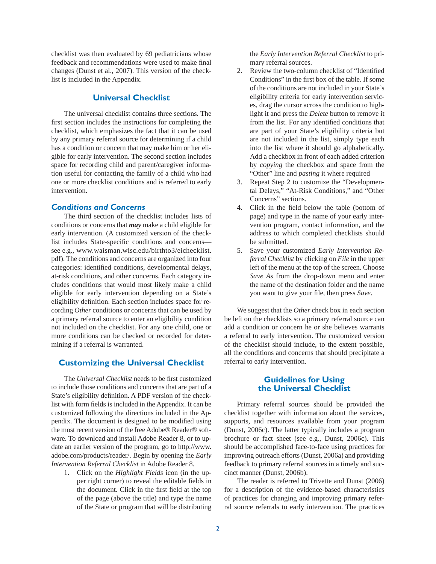checklist was then evaluated by 69 pediatricians whose feedback and recommendations were used to make final changes (Dunst et al., 2007). This version of the checklist is included in the Appendix.

# **Universal Checklist**

 The universal checklist contains three sections. The first section includes the instructions for completing the checklist, which emphasizes the fact that it can be used by any primary referral source for determining if a child has a condition or concern that may make him or her eligible for early intervention. The second section includes space for recording child and parent/caregiver information useful for contacting the family of a child who had one or more checklist conditions and is referred to early intervention.

# *Conditions and Concerns*

 The third section of the checklist includes lists of conditions or concerns that *may* make a child eligible for early intervention. (A customized version of the checklist includes State-specific conditions and concernssee e.g., www.waisman.wisc.edu/birthto3/eichecklist. pdf). The conditions and concerns are organized into four categories: identified conditions, developmental delays, at-risk conditions, and other concerns. Each category includes conditions that would most likely make a child eligible for early intervention depending on a State's eligibility definition. Each section includes space for recording *Other* conditions or concerns that can be used by a primary referral source to enter an eligibility condition not included on the checklist. For any one child, one or more conditions can be checked or recorded for determining if a referral is warranted.

#### **Customizing the Universal Checklist**

The *Universal Checklist* needs to be first customized to include those conditions and concerns that are part of a State's eligibility definition. A PDF version of the checklist with form fields is included in the Appendix. It can be customized following the directions included in the Appendix. The document is designed to be modified using the most recent version of the free Adobe® Reader® software. To download and install Adobe Reader 8, or to update an earlier version of the program, go to http://www. adobe.com/products/reader/. Begin by opening the *Early Intervention Referral Checklist* in Adobe Reader 8.

1. Click on the *Highlight Fields* icon (in the upper right corner) to reveal the editable fields in the document. Click in the first field at the top of the page (above the title) and type the name of the State or program that will be distributing the *Early Intervention Referral Checklist* to primary referral sources.

- 2. Review the two-column checklist of "Identified" Conditions" in the first box of the table. If some of the conditions are not included in your State's eligibility criteria for early intervention services, drag the cursor across the condition to highlight it and press the *Delete* button to remove it from the list. For any identified conditions that are part of your State's eligibility criteria but are not included in the list, simply type each into the list where it should go alphabetically. Add a checkbox in front of each added criterion by *copying* the checkbox and space from the "Other" line and *pasting* it where required
- 3. Repeat Step 2 to customize the "Developmental Delays," "At-Risk Conditions," and "Other Concerns" sections.
- 4. Click in the field below the table (bottom of page) and type in the name of your early intervention program, contact information, and the address to which completed checklists should be submitted.
- 5. Save your customized *Early Intervention Referral Checklist* by clicking on *File* in the upper left of the menu at the top of the screen. Choose *Save As* from the drop-down menu and enter the name of the destination folder and the name you want to give your file, then press *Save*.

 We suggest that the *Other* check box in each section be left on the checklists so a primary referral source can add a condition or concern he or she believes warrants a referral to early intervention. The customized version of the checklist should include, to the extent possible, all the conditions and concerns that should precipitate a referral to early intervention.

#### **Guidelines for Using the Universal Checklist**

 Primary referral sources should be provided the checklist together with information about the services, supports, and resources available from your program (Dunst, 2006c). The latter typically includes a program brochure or fact sheet (see e.g., Dunst, 2006c). This should be accomplished face-to-face using practices for improving outreach efforts (Dunst, 2006a) and providing feedback to primary referral sources in a timely and succinct manner (Dunst, 2006b).

 The reader is referred to Trivette and Dunst (2006) for a description of the evidence-based characteristics of practices for changing and improving primary referral source referrals to early intervention. The practices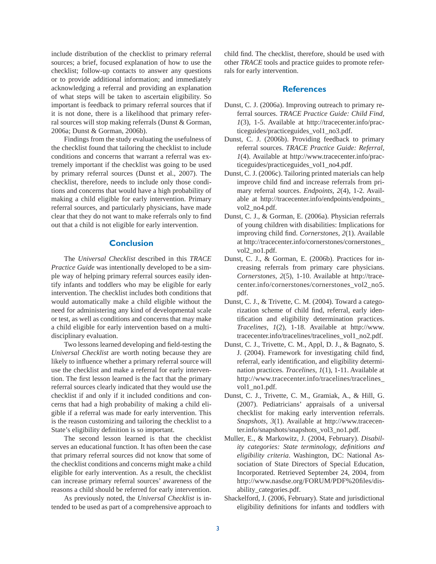include distribution of the checklist to primary referral sources; a brief, focused explanation of how to use the checklist; follow-up contacts to answer any questions or to provide additional information; and immediately acknowledging a referral and providing an explanation of what steps will be taken to ascertain eligibility. So important is feedback to primary referral sources that if it is not done, there is a likelihood that primary referral sources will stop making referrals (Dunst & Gorman, 2006a; Dunst & Gorman, 2006b).

 Findings from the study evaluating the usefulness of the checklist found that tailoring the checklist to include conditions and concerns that warrant a referral was extremely important if the checklist was going to be used by primary referral sources (Dunst et al., 2007). The checklist, therefore, needs to include only those conditions and concerns that would have a high probability of making a child eligible for early intervention. Primary referral sources, and particularly physicians, have made clear that they do not want to make referrals only to find out that a child is not eligible for early intervention.

### **Conclusion**

 The *Universal Checklist* described in this *TRACE Practice Guide* was intentionally developed to be a simple way of helping primary referral sources easily identify infants and toddlers who may be eligible for early intervention. The checklist includes both conditions that would automatically make a child eligible without the need for administering any kind of developmental scale or test, as well as conditions and concerns that may make a child eligible for early intervention based on a multidisciplinary evaluation.

Two lessons learned developing and field-testing the *Universal Checklist* are worth noting because they are likely to influence whether a primary referral source will use the checklist and make a referral for early intervention. The first lesson learned is the fact that the primary referral sources clearly indicated that they would use the checklist if and only if it included conditions and concerns that had a high probability of making a child eligible if a referral was made for early intervention. This is the reason customizing and tailoring the checklist to a State's eligibility definition is so important.

 The second lesson learned is that the checklist serves an educational function. It has often been the case that primary referral sources did not know that some of the checklist conditions and concerns might make a child eligible for early intervention. As a result, the checklist can increase primary referral sources' awareness of the reasons a child should be referred for early intervention.

 As previously noted, the *Universal Checklist* is intended to be used as part of a comprehensive approach to child find. The checklist, therefore, should be used with other *TRACE* tools and practice guides to promote referrals for early intervention.

#### **References**

- Dunst, C. J. (2006a). Improving outreach to primary referral sources. *TRACE Practice Guide: Child Find, 1*(3), 1-5. Available at http://tracecenter.info/practiceguides/practiceguides\_vol1\_no3.pdf.
- Dunst, C. J. (2006b). Providing feedback to primary referral sources. *TRACE Practice Guide: Referral, 1*(4). Available at http://www.tracecenter.info/practiceguides/practiceguides\_vol1\_no4.pdf.
- Dunst, C. J. (2006c). Tailoring printed materials can help improve child find and increase referrals from primary referral sources. *Endpoints, 2*(4), 1-2. Available at http://tracecenter.info/endpoints/endpoints\_ vol2\_no4.pdf.
- Dunst, C. J., & Gorman, E. (2006a). Physician referrals of young children with disabilities: Implications for improving child find. *Cornerstones*, 2(1). Available at http://tracecenter.info/cornerstones/cornerstones\_ vol2\_no1.pdf.
- Dunst, C. J., & Gorman, E. (2006b). Practices for increasing referrals from primary care physicians. *Cornerstones, 2*(5), 1-10. Available at http://tracecenter.info/cornerstones/cornerstones\_vol2\_no5. pdf.
- Dunst, C. J., & Trivette, C. M. (2004). Toward a categorization scheme of child find, referral, early identification and eligibility determination practices. *Tracelines, 1*(2), 1-18. Available at http://www. tracecenter.info/tracelines/tracelines\_vol1\_no2.pdf.
- Dunst, C. J., Trivette, C. M., Appl, D. J., & Bagnato, S. J. (2004). Framework for investigating child find, referral, early identification, and eligibility determination practices. *Tracelines, 1*(1), 1-11. Available at http://www.tracecenter.info/tracelines/tracelines\_ vol1\_no1.pdf.
- Dunst, C. J., Trivette, C. M., Gramiak, A., & Hill, G. (2007). Pediatricians' appraisals of a universal checklist for making early intervention referrals. *Snapshots, 3*(1). Available at http://www.tracecenter.info/snapshots/snapshots\_vol3\_no1.pdf.
- Muller, E., & Markowitz, J. (2004, February). *Disability categories: State terminology, definitions and eligibility criteria*. Washington, DC: National Association of State Directors of Special Education, Incorporated. Retrieved September 24, 2004, from http://www.nasdse.org/FORUM/PDF%20files/disability\_categories.pdf.
- Shackelford, J. (2006, February). State and jurisdictional eligibility definitions for infants and toddlers with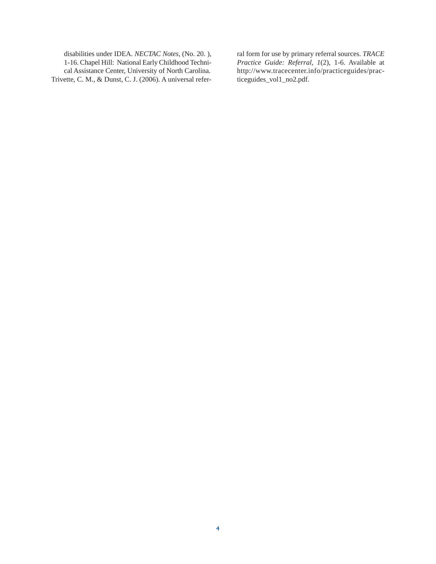disabilities under IDEA. *NECTAC Notes,* (No. 20. ), 1-16. Chapel Hill: National Early Childhood Technical Assistance Center, University of North Carolina. Trivette, C. M., & Dunst, C. J. (2006). A universal refer-

ral form for use by primary referral sources. *TRACE Practice Guide: Referral, 1*(2), 1-6. Available at http://www.tracecenter.info/practiceguides/practiceguides\_vol1\_no2.pdf.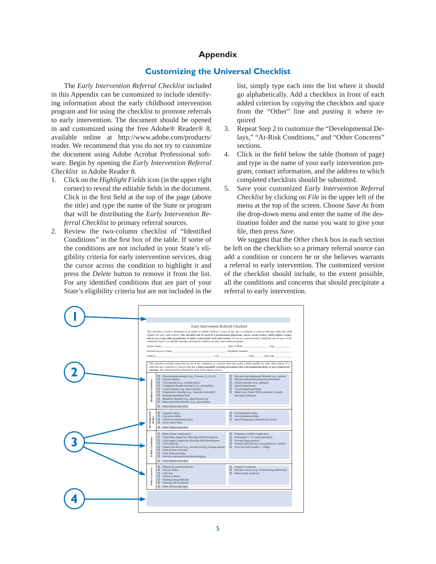# **Appendix**

# **Customizing the Universal Checklist**

 The *Early Intervention Referral Checklist* included in this Appendix can be customized to include identifying information about the early childhood intervention program and for using the checklist to promote referrals to early intervention. The document should be opened in and customized using the free Adobe® Reader® 8, available online at http://www.adobe.com/products/ reader. We recommend that you do not try to customize the document using Adobe Acrobat Professional software. Begin by opening the *Early Intervention Referral Checklist* in Adobe Reader 8.

- 1. Click on the *Highlight Fields* icon (in the upper right corner) to reveal the editable fields in the document. Click in the first field at the top of the page (above the title) and type the name of the State or program that will be distributing the *Early Intervention Referral Checklist* to primary referral sources.
- 2. Review the two-column checklist of "Identified Conditions" in the first box of the table. If some of the conditions are not included in your State's eligibility criteria for early intervention services, drag the cursor across the condition to highlight it and press the *Delete* button to remove it from the list. For any identified conditions that are part of your State's eligibility criteria but are not included in the

list, simply type each into the list where it should go alphabetically. Add a checkbox in front of each added criterion by *copying* the checkbox and space from the "Other" line and *pasting* it where required

- 3. Repeat Step 2 to customize the "Developmental Delays," "At-Risk Conditions," and "Other Concerns" sections.
- 4. Click in the field below the table (bottom of page) and type in the name of your early intervention program, contact information, and the address to which completed checklists should be submitted.
- 5. Save your customized *Early Intervention Referral Checklist* by clicking on *File* in the upper left of the menu at the top of the screen. Choose *Save As* from the drop-down menu and enter the name of the destination folder and the name you want to give your file, then press Save.

 We suggest that the *Other* check box in each section be left on the checklists so a primary referral source can add a condition or concern he or she believes warrants a referral to early intervention. The customized version of the checklist should include, to the extent possible, all the conditions and concerns that should precipitate a referral to early intervention.